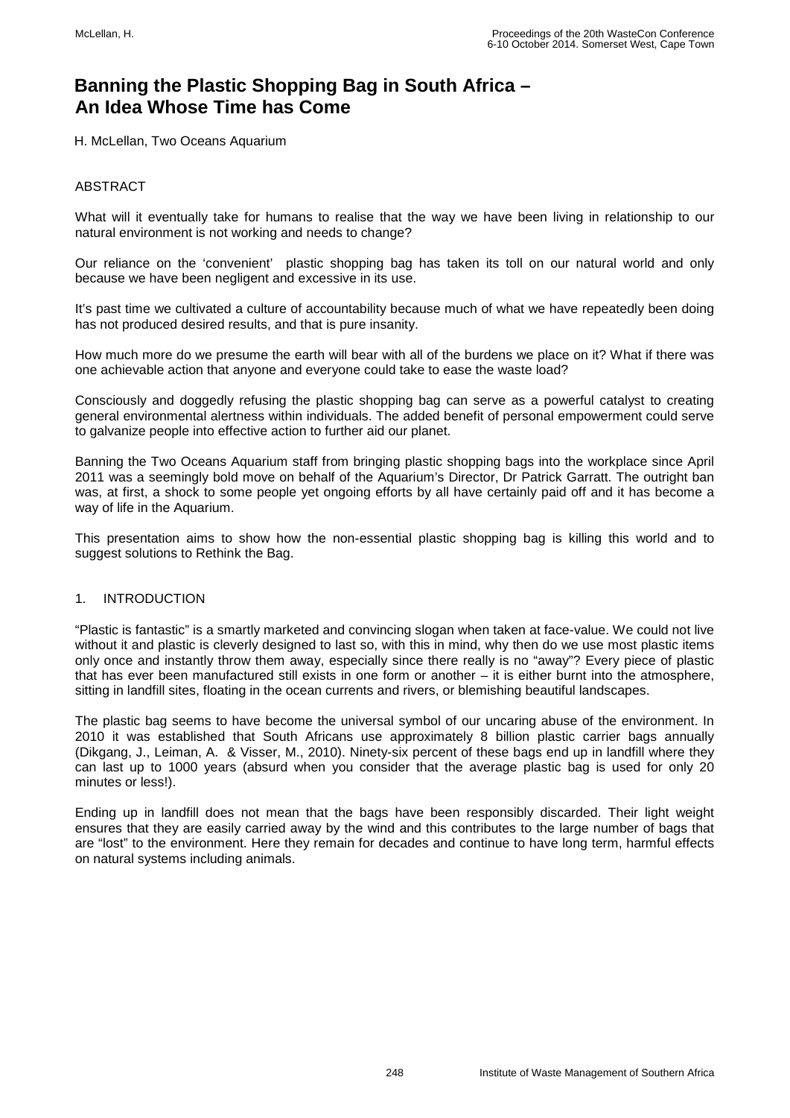# **Banning the Plastic Shopping Bag in South Africa – An Idea Whose Time has Come**

H. McLellan, Two Oceans Aquarium

## ABSTRACT

What will it eventually take for humans to realise that the way we have been living in relationship to our natural environment is not working and needs to change?

Our reliance on the 'convenient' plastic shopping bag has taken its toll on our natural world and only because we have been negligent and excessive in its use.

It's past time we cultivated a culture of accountability because much of what we have repeatedly been doing has not produced desired results, and that is pure insanity.

How much more do we presume the earth will bear with all of the burdens we place on it? What if there was one achievable action that anyone and everyone could take to ease the waste load?

Consciously and doggedly refusing the plastic shopping bag can serve as a powerful catalyst to creating general environmental alertness within individuals. The added benefit of personal empowerment could serve to galvanize people into effective action to further aid our planet.

Banning the Two Oceans Aquarium staff from bringing plastic shopping bags into the workplace since April 2011 was a seemingly bold move on behalf of the Aquarium's Director, Dr Patrick Garratt. The outright ban was, at first, a shock to some people yet ongoing efforts by all have certainly paid off and it has become a way of life in the Aquarium.

This presentation aims to show how the non-essential plastic shopping bag is killing this world and to suggest solutions to Rethink the Bag.

#### 1. INTRODUCTION

"Plastic is fantastic" is a smartly marketed and convincing slogan when taken at face-value. We could not live without it and plastic is cleverly designed to last so, with this in mind, why then do we use most plastic items only once and instantly throw them away, especially since there really is no "away"? Every piece of plastic that has ever been manufactured still exists in one form or another – it is either burnt into the atmosphere, sitting in landfill sites, floating in the ocean currents and rivers, or blemishing beautiful landscapes.

The plastic bag seems to have become the universal symbol of our uncaring abuse of the environment. In 2010 it was established that South Africans use approximately 8 billion plastic carrier bags annually (Dikgang, J., Leiman, A. & Visser, M., 2010). Ninety-six percent of these bags end up in landfill where they can last up to 1000 years (absurd when you consider that the average plastic bag is used for only 20 minutes or less!).

Ending up in landfill does not mean that the bags have been responsibly discarded. Their light weight ensures that they are easily carried away by the wind and this contributes to the large number of bags that are "lost" to the environment. Here they remain for decades and continue to have long term, harmful effects on natural systems including animals.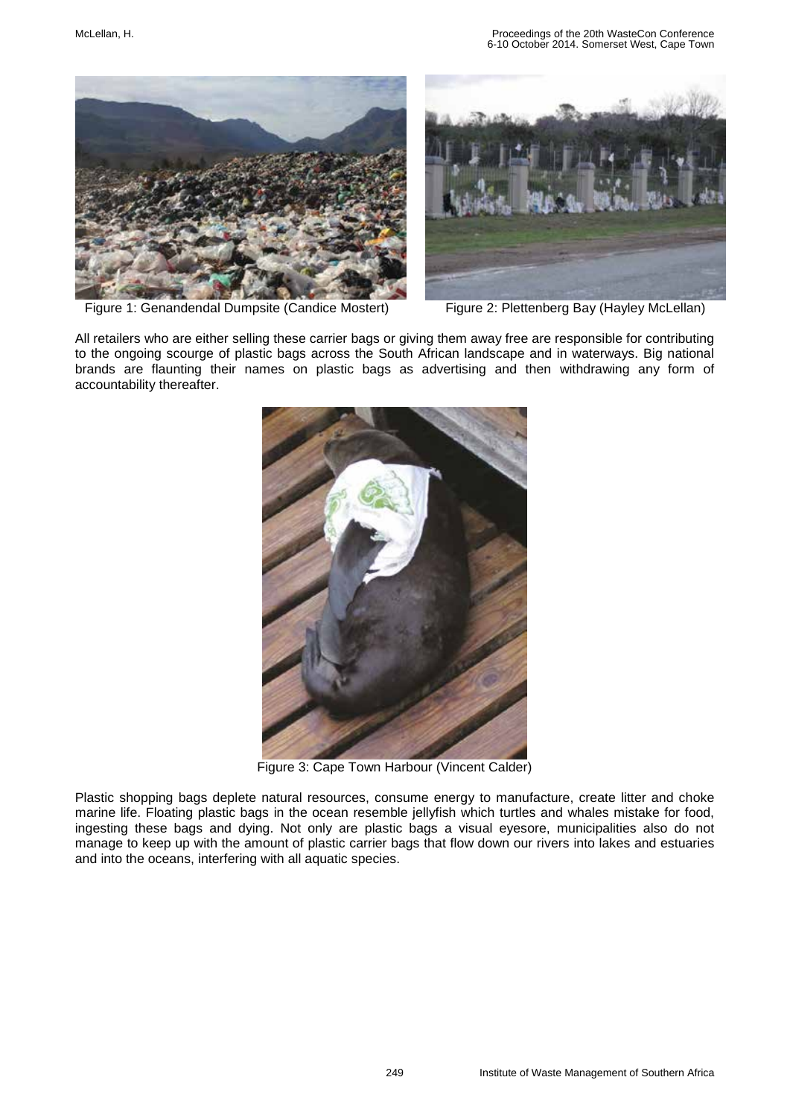

Figure 1: Genandendal Dumpsite (Candice Mostert) Figure 2: Plettenberg Bay (Hayley McLellan)



All retailers who are either selling these carrier bags or giving them away free are responsible for contributing to the ongoing scourge of plastic bags across the South African landscape and in waterways. Big national brands are flaunting their names on plastic bags as advertising and then withdrawing any form of accountability thereafter.



Figure 3: Cape Town Harbour (Vincent Calder)

Plastic shopping bags deplete natural resources, consume energy to manufacture, create litter and choke marine life. Floating plastic bags in the ocean resemble jellyfish which turtles and whales mistake for food, ingesting these bags and dying. Not only are plastic bags a visual eyesore, municipalities also do not manage to keep up with the amount of plastic carrier bags that flow down our rivers into lakes and estuaries and into the oceans, interfering with all aquatic species.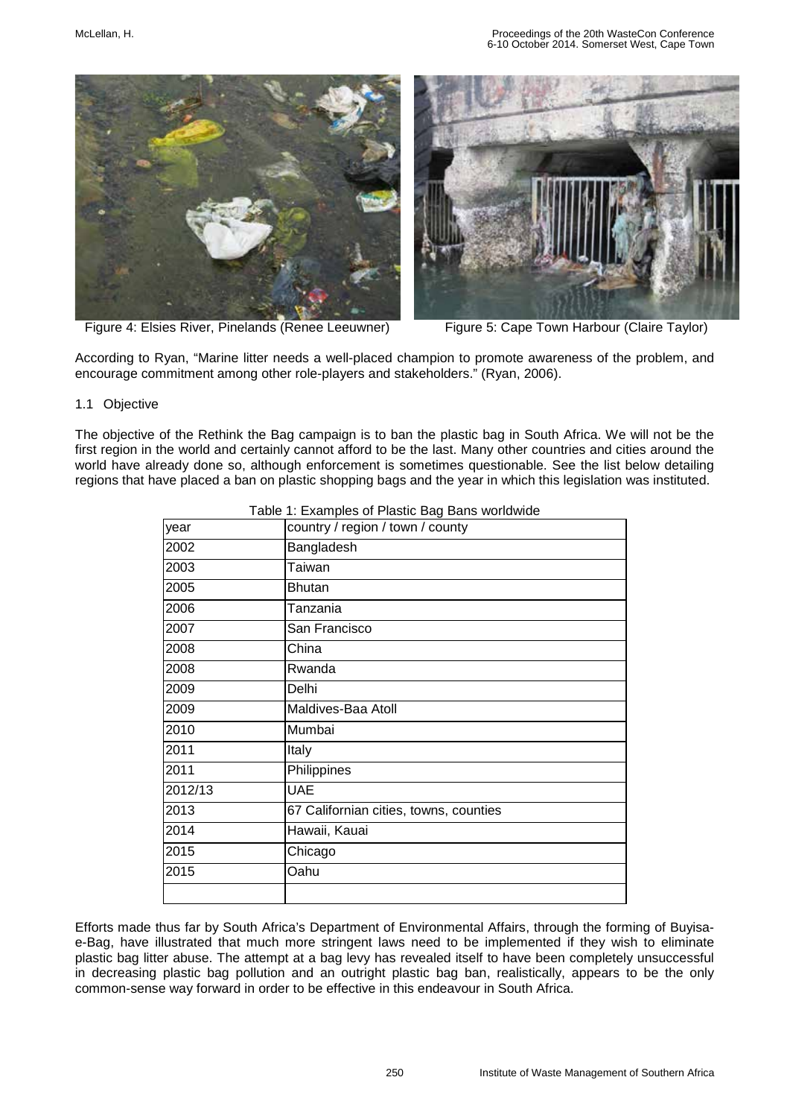

Figure 4: Elsies River, Pinelands (Renee Leeuwner) Figure 5: Cape Town Harbour (Claire Taylor)



According to Ryan, "Marine litter needs a well-placed champion to promote awareness of the problem, and encourage commitment among other role-players and stakeholders." (Ryan, 2006).

### 1.1 Objective

The objective of the Rethink the Bag campaign is to ban the plastic bag in South Africa. We will not be the first region in the world and certainly cannot afford to be the last. Many other countries and cities around the world have already done so, although enforcement is sometimes questionable. See the list below detailing regions that have placed a ban on plastic shopping bags and the year in which this legislation was instituted.

|         | rabio 1. Examples or ritastro Day Daris worldwide |  |  |
|---------|---------------------------------------------------|--|--|
| year    | country / region / town / county                  |  |  |
| 2002    | Bangladesh                                        |  |  |
| 2003    | Taiwan                                            |  |  |
| 2005    | <b>Bhutan</b>                                     |  |  |
| 2006    | Tanzania                                          |  |  |
| 2007    | San Francisco                                     |  |  |
| 2008    | China                                             |  |  |
| 2008    | Rwanda                                            |  |  |
| 2009    | Delhi                                             |  |  |
| 2009    | Maldives-Baa Atoll                                |  |  |
| 2010    | Mumbai                                            |  |  |
| 2011    | Italy                                             |  |  |
| 2011    | Philippines                                       |  |  |
| 2012/13 | <b>UAE</b>                                        |  |  |
| 2013    | 67 Californian cities, towns, counties            |  |  |
| 2014    | Hawaii, Kauai                                     |  |  |
| 2015    | Chicago                                           |  |  |
| 2015    | Oahu                                              |  |  |
|         |                                                   |  |  |

Table 1: Examples of Plastic Bag Bans worldwide

Efforts made thus far by South Africa's Department of Environmental Affairs, through the forming of Buyisae-Bag, have illustrated that much more stringent laws need to be implemented if they wish to eliminate plastic bag litter abuse. The attempt at a bag levy has revealed itself to have been completely unsuccessful in decreasing plastic bag pollution and an outright plastic bag ban, realistically, appears to be the only common-sense way forward in order to be effective in this endeavour in South Africa.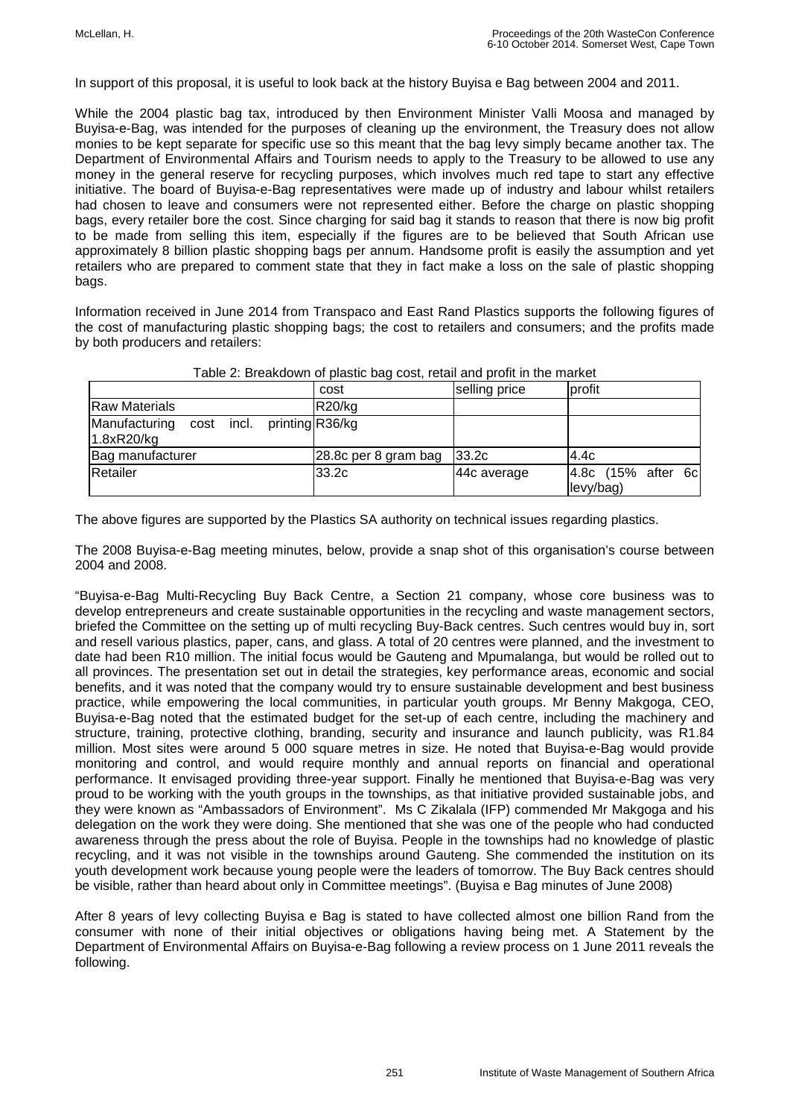In support of this proposal, it is useful to look back at the history Buyisa e Bag between 2004 and 2011.

While the 2004 plastic bag tax, introduced by then Environment Minister Valli Moosa and managed by Buyisa-e-Bag, was intended for the purposes of cleaning up the environment, the Treasury does not allow monies to be kept separate for specific use so this meant that the bag levy simply became another tax. The Department of Environmental Affairs and Tourism needs to apply to the Treasury to be allowed to use any money in the general reserve for recycling purposes, which involves much red tape to start any effective initiative. The board of Buyisa-e-Bag representatives were made up of industry and labour whilst retailers had chosen to leave and consumers were not represented either. Before the charge on plastic shopping bags, every retailer bore the cost. Since charging for said bag it stands to reason that there is now big profit to be made from selling this item, especially if the figures are to be believed that South African use approximately 8 billion plastic shopping bags per annum. Handsome profit is easily the assumption and yet retailers who are prepared to comment state that they in fact make a loss on the sale of plastic shopping bags.

Information received in June 2014 from Transpaco and East Rand Plastics supports the following figures of the cost of manufacturing plastic shopping bags; the cost to retailers and consumers; and the profits made by both producers and retailers:

|                                                           | $\sim$ 0.000 $\sim$ 0.000 $\sim$ 0.000 $\sim$ 0.000 $\sim$ 0.000 $\sim$ 0.000 $\sim$ 0.000 $\sim$ 0.000 $\sim$ 0.000 $\sim$ 0.000 $\sim$<br>cost | selling price | profit                          |
|-----------------------------------------------------------|--------------------------------------------------------------------------------------------------------------------------------------------------|---------------|---------------------------------|
| <b>Raw Materials</b>                                      | R20/kg                                                                                                                                           |               |                                 |
| Manufacturing<br>cost incl. printing R36/kg<br>1.8xR20/kg |                                                                                                                                                  |               |                                 |
| Bag manufacturer                                          | 28.8c per 8 gram bag                                                                                                                             | 33.2c         | 4.4c                            |
| Retailer                                                  | 33.2c                                                                                                                                            | 44c average   | 4.8c (15% after 6c<br>levy/bag) |

| Table 2: Breakdown of plastic bag cost, retail and profit in the market |  |  |  |
|-------------------------------------------------------------------------|--|--|--|
|-------------------------------------------------------------------------|--|--|--|

The above figures are supported by the Plastics SA authority on technical issues regarding plastics.

The 2008 Buyisa-e-Bag meeting minutes, below, provide a snap shot of this organisation's course between 2004 and 2008.

"Buyisa-e-Bag Multi-Recycling Buy Back Centre, a Section 21 company, whose core business was to develop entrepreneurs and create sustainable opportunities in the recycling and waste management sectors, briefed the Committee on the setting up of multi recycling Buy-Back centres. Such centres would buy in, sort and resell various plastics, paper, cans, and glass. A total of 20 centres were planned, and the investment to date had been R10 million. The initial focus would be Gauteng and Mpumalanga, but would be rolled out to all provinces. The presentation set out in detail the strategies, key performance areas, economic and social benefits, and it was noted that the company would try to ensure sustainable development and best business practice, while empowering the local communities, in particular youth groups. Mr Benny Makgoga, CEO, Buyisa-e-Bag noted that the estimated budget for the set-up of each centre, including the machinery and structure, training, protective clothing, branding, security and insurance and launch publicity, was R1.84 million. Most sites were around 5 000 square metres in size. He noted that Buyisa-e-Bag would provide monitoring and control, and would require monthly and annual reports on financial and operational performance. It envisaged providing three-year support. Finally he mentioned that Buyisa-e-Bag was very proud to be working with the youth groups in the townships, as that initiative provided sustainable jobs, and they were known as "Ambassadors of Environment". Ms C Zikalala (IFP) commended Mr Makgoga and his delegation on the work they were doing. She mentioned that she was one of the people who had conducted awareness through the press about the role of Buyisa. People in the townships had no knowledge of plastic recycling, and it was not visible in the townships around Gauteng. She commended the institution on its youth development work because young people were the leaders of tomorrow. The Buy Back centres should be visible, rather than heard about only in Committee meetings". (Buyisa e Bag minutes of June 2008)

After 8 years of levy collecting Buyisa e Bag is stated to have collected almost one billion Rand from the consumer with none of their initial objectives or obligations having being met. A Statement by the Department of Environmental Affairs on Buyisa-e-Bag following a review process on 1 June 2011 reveals the following.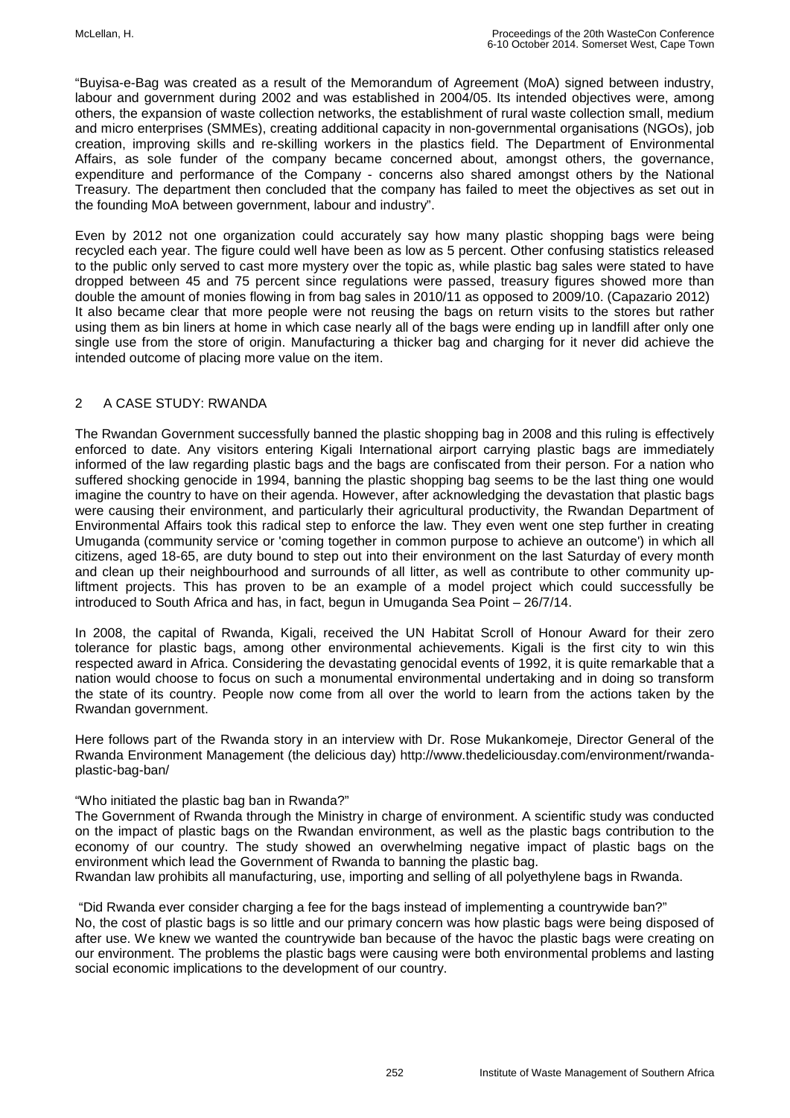"Buyisa-e-Bag was created as a result of the Memorandum of Agreement (MoA) signed between industry, labour and government during 2002 and was established in 2004/05. Its intended objectives were, among others, the expansion of waste collection networks, the establishment of rural waste collection small, medium and micro enterprises (SMMEs), creating additional capacity in non-governmental organisations (NGOs), job creation, improving skills and re-skilling workers in the plastics field. The Department of Environmental Affairs, as sole funder of the company became concerned about, amongst others, the governance, expenditure and performance of the Company - concerns also shared amongst others by the National Treasury. The department then concluded that the company has failed to meet the objectives as set out in the founding MoA between government, labour and industry".

Even by 2012 not one organization could accurately say how many plastic shopping bags were being recycled each year. The figure could well have been as low as 5 percent. Other confusing statistics released to the public only served to cast more mystery over the topic as, while plastic bag sales were stated to have dropped between 45 and 75 percent since regulations were passed, treasury figures showed more than double the amount of monies flowing in from bag sales in 2010/11 as opposed to 2009/10. (Capazario 2012) It also became clear that more people were not reusing the bags on return visits to the stores but rather using them as bin liners at home in which case nearly all of the bags were ending up in landfill after only one single use from the store of origin. Manufacturing a thicker bag and charging for it never did achieve the intended outcome of placing more value on the item.

# 2 A CASE STUDY: RWANDA

The Rwandan Government successfully banned the plastic shopping bag in 2008 and this ruling is effectively enforced to date. Any visitors entering Kigali International airport carrying plastic bags are immediately informed of the law regarding plastic bags and the bags are confiscated from their person. For a nation who suffered shocking genocide in 1994, banning the plastic shopping bag seems to be the last thing one would imagine the country to have on their agenda. However, after acknowledging the devastation that plastic bags were causing their environment, and particularly their agricultural productivity, the Rwandan Department of Environmental Affairs took this radical step to enforce the law. They even went one step further in creating Umuganda (community service or 'coming together in common purpose to achieve an outcome') in which all citizens, aged 18-65, are duty bound to step out into their environment on the last Saturday of every month and clean up their neighbourhood and surrounds of all litter, as well as contribute to other community upliftment projects. This has proven to be an example of a model project which could successfully be introduced to South Africa and has, in fact, begun in Umuganda Sea Point – 26/7/14.

In 2008, the capital of Rwanda, Kigali, received the UN Habitat Scroll of Honour Award for their zero tolerance for plastic bags, among other environmental achievements. Kigali is the first city to win this respected award in Africa. Considering the devastating genocidal events of 1992, it is quite remarkable that a nation would choose to focus on such a monumental environmental undertaking and in doing so transform the state of its country. People now come from all over the world to learn from the actions taken by the Rwandan government.

Here follows part of the Rwanda story in an interview with Dr. Rose Mukankomeje, Director General of the Rwanda Environment Management (the delicious day) http://www.thedeliciousday.com/environment/rwandaplastic-bag-ban/

# "Who initiated the plastic bag ban in Rwanda?"

The Government of Rwanda through the Ministry in charge of environment. A scientific study was conducted on the impact of plastic bags on the Rwandan environment, as well as the plastic bags contribution to the economy of our country. The study showed an overwhelming negative impact of plastic bags on the environment which lead the Government of Rwanda to banning the plastic bag.

Rwandan law prohibits all manufacturing, use, importing and selling of all polyethylene bags in Rwanda.

"Did Rwanda ever consider charging a fee for the bags instead of implementing a countrywide ban?" No, the cost of plastic bags is so little and our primary concern was how plastic bags were being disposed of after use. We knew we wanted the countrywide ban because of the havoc the plastic bags were creating on our environment. The problems the plastic bags were causing were both environmental problems and lasting social economic implications to the development of our country.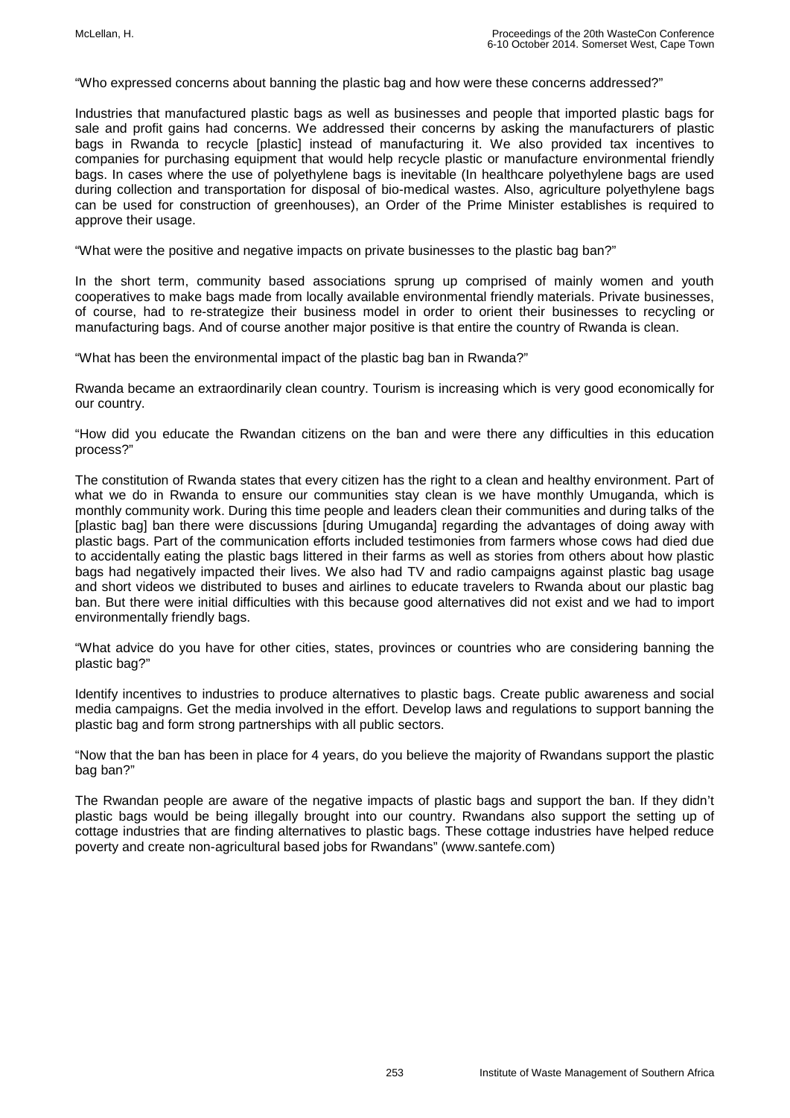"Who expressed concerns about banning the plastic bag and how were these concerns addressed?"

Industries that manufactured plastic bags as well as businesses and people that imported plastic bags for sale and profit gains had concerns. We addressed their concerns by asking the manufacturers of plastic bags in Rwanda to recycle [plastic] instead of manufacturing it. We also provided tax incentives to companies for purchasing equipment that would help recycle plastic or manufacture environmental friendly bags. In cases where the use of polyethylene bags is inevitable (In healthcare polyethylene bags are used during collection and transportation for disposal of bio-medical wastes. Also, agriculture polyethylene bags can be used for construction of greenhouses), an Order of the Prime Minister establishes is required to approve their usage.

"What were the positive and negative impacts on private businesses to the plastic bag ban?"

In the short term, community based associations sprung up comprised of mainly women and youth cooperatives to make bags made from locally available environmental friendly materials. Private businesses, of course, had to re-strategize their business model in order to orient their businesses to recycling or manufacturing bags. And of course another major positive is that entire the country of Rwanda is clean.

"What has been the environmental impact of the plastic bag ban in Rwanda?"

Rwanda became an extraordinarily clean country. Tourism is increasing which is very good economically for our country.

"How did you educate the Rwandan citizens on the ban and were there any difficulties in this education process?"

The constitution of Rwanda states that every citizen has the right to a clean and healthy environment. Part of what we do in Rwanda to ensure our communities stay clean is we have monthly Umuganda, which is monthly community work. During this time people and leaders clean their communities and during talks of the [plastic bag] ban there were discussions [during Umuganda] regarding the advantages of doing away with plastic bags. Part of the communication efforts included testimonies from farmers whose cows had died due to accidentally eating the plastic bags littered in their farms as well as stories from others about how plastic bags had negatively impacted their lives. We also had TV and radio campaigns against plastic bag usage and short videos we distributed to buses and airlines to educate travelers to Rwanda about our plastic bag ban. But there were initial difficulties with this because good alternatives did not exist and we had to import environmentally friendly bags.

"What advice do you have for other cities, states, provinces or countries who are considering banning the plastic bag?"

Identify incentives to industries to produce alternatives to plastic bags. Create public awareness and social media campaigns. Get the media involved in the effort. Develop laws and regulations to support banning the plastic bag and form strong partnerships with all public sectors.

"Now that the ban has been in place for 4 years, do you believe the majority of Rwandans support the plastic bag ban?"

The Rwandan people are aware of the negative impacts of plastic bags and support the ban. If they didn't plastic bags would be being illegally brought into our country. Rwandans also support the setting up of cottage industries that are finding alternatives to plastic bags. These cottage industries have helped reduce poverty and create non-agricultural based jobs for Rwandans" (www.santefe.com)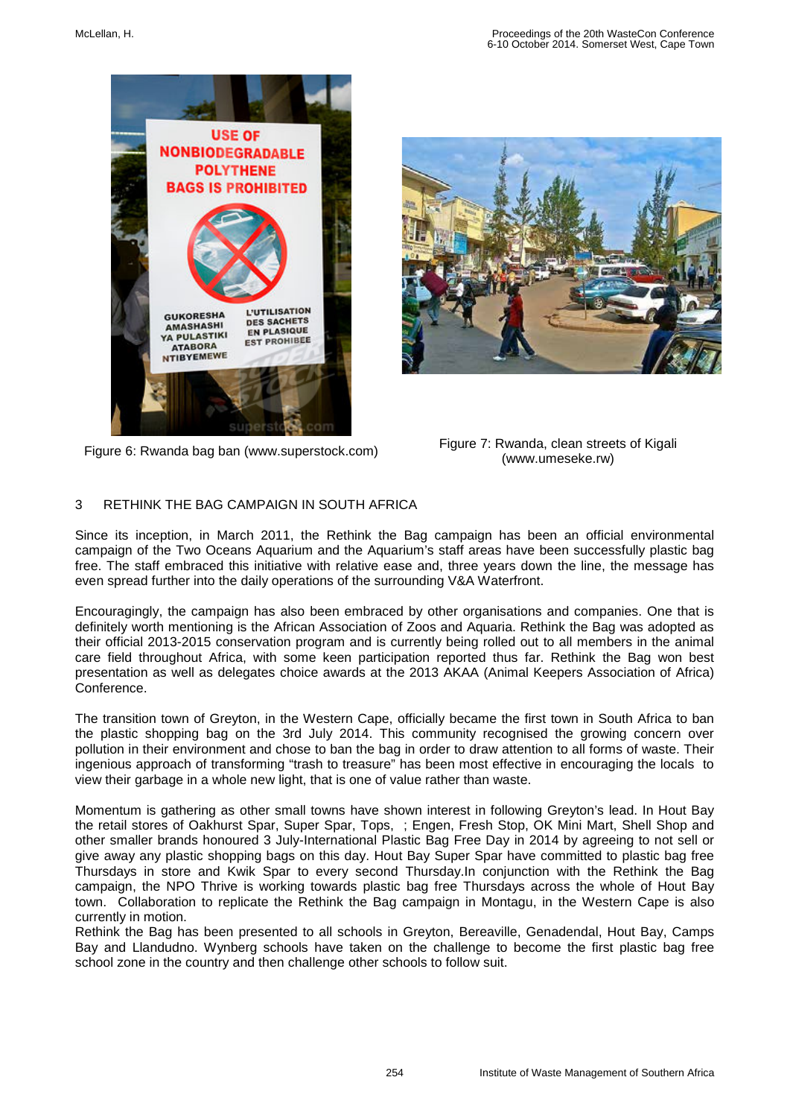



Figure 6: Rwanda bag ban (www.superstock.com)<br>(uning umageles mi) (www.umeseke.rw)

# 3 RETHINK THE BAG CAMPAIGN IN SOUTH AFRICA

Since its inception, in March 2011, the Rethink the Bag campaign has been an official environmental campaign of the Two Oceans Aquarium and the Aquarium's staff areas have been successfully plastic bag free. The staff embraced this initiative with relative ease and, three years down the line, the message has even spread further into the daily operations of the surrounding V&A Waterfront.

Encouragingly, the campaign has also been embraced by other organisations and companies. One that is definitely worth mentioning is the African Association of Zoos and Aquaria. Rethink the Bag was adopted as their official 2013-2015 conservation program and is currently being rolled out to all members in the animal care field throughout Africa, with some keen participation reported thus far. Rethink the Bag won best presentation as well as delegates choice awards at the 2013 AKAA (Animal Keepers Association of Africa) Conference.

The transition town of Greyton, in the Western Cape, officially became the first town in South Africa to ban the plastic shopping bag on the 3rd July 2014. This community recognised the growing concern over pollution in their environment and chose to ban the bag in order to draw attention to all forms of waste. Their ingenious approach of transforming "trash to treasure" has been most effective in encouraging the locals to view their garbage in a whole new light, that is one of value rather than waste.

Momentum is gathering as other small towns have shown interest in following Greyton's lead. In Hout Bay the retail stores of Oakhurst Spar, Super Spar, Tops, ; Engen, Fresh Stop, OK Mini Mart, Shell Shop and other smaller brands honoured 3 July-International Plastic Bag Free Day in 2014 by agreeing to not sell or give away any plastic shopping bags on this day. Hout Bay Super Spar have committed to plastic bag free Thursdays in store and Kwik Spar to every second Thursday.In conjunction with the Rethink the Bag campaign, the NPO Thrive is working towards plastic bag free Thursdays across the whole of Hout Bay town. Collaboration to replicate the Rethink the Bag campaign in Montagu, in the Western Cape is also currently in motion.

Rethink the Bag has been presented to all schools in Greyton, Bereaville, Genadendal, Hout Bay, Camps Bay and Llandudno. Wynberg schools have taken on the challenge to become the first plastic bag free school zone in the country and then challenge other schools to follow suit.